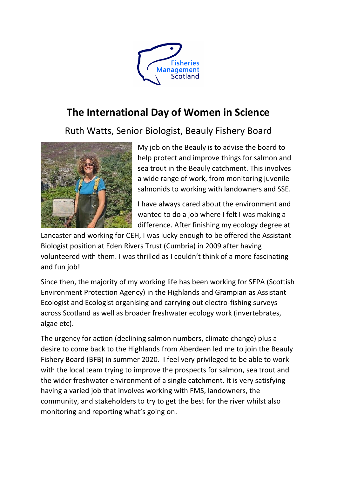

## **The International Day of Women in Science**

Ruth Watts, Senior Biologist, Beauly Fishery Board



My job on the Beauly is to advise the board to help protect and improve things for salmon and sea trout in the Beauly catchment. This involves a wide range of work, from monitoring juvenile salmonids to working with landowners and SSE.

I have always cared about the environment and wanted to do a job where I felt I was making a difference. After finishing my ecology degree at

Lancaster and working for CEH, I was lucky enough to be offered the Assistant Biologist position at Eden Rivers Trust (Cumbria) in 2009 after having volunteered with them. I was thrilled as I couldn't think of a more fascinating and fun job!

Since then, the majority of my working life has been working for SEPA (Scottish Environment Protection Agency) in the Highlands and Grampian as Assistant Ecologist and Ecologist organising and carrying out electro-fishing surveys across Scotland as well as broader freshwater ecology work (invertebrates, algae etc).

The urgency for action (declining salmon numbers, climate change) plus a desire to come back to the Highlands from Aberdeen led me to join the Beauly Fishery Board (BFB) in summer 2020. I feel very privileged to be able to work with the local team trying to improve the prospects for salmon, sea trout and the wider freshwater environment of a single catchment. It is very satisfying having a varied job that involves working with FMS, landowners, the community, and stakeholders to try to get the best for the river whilst also monitoring and reporting what's going on.